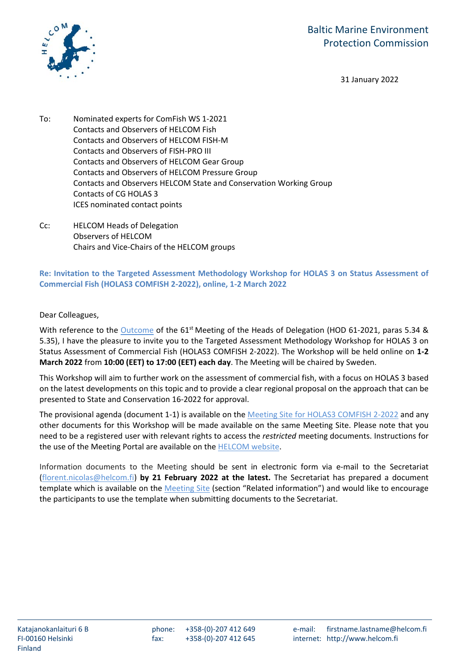

31 January 2022

- To: Nominated experts for ComFish WS 1-2021 Contacts and Observers of HELCOM Fish Contacts and Observers of HELCOM FISH-M Contacts and Observers of FISH-PRO III Contacts and Observers of HELCOM Gear Group Contacts and Observers of HELCOM Pressure Group Contacts and Observers HELCOM State and Conservation Working Group Contacts of CG HOLAS 3 ICES nominated contact points
- Cc: HELCOM Heads of Delegation Observers of HELCOM Chairs and Vice-Chairs of the HELCOM groups

**Re: Invitation to the Targeted Assessment Methodology Workshop for HOLAS 3 on Status Assessment of Commercial Fish (HOLAS3 COMFISH 2-2022), online, 1-2 March 2022**

Dear Colleagues,

With reference to the [Outcome](https://portal.helcom.fi/meetings/HOD%2061-2021-896/MeetingDocuments/Outcome%20of%20HOD%2061-2021.pdf) of the 61<sup>st</sup> Meeting of the Heads of Delegation (HOD 61-2021, paras 5.34 & 5.35), I have the pleasure to invite you to the Targeted Assessment Methodology Workshop for HOLAS 3 on Status Assessment of Commercial Fish (HOLAS3 COMFISH 2-2022). The Workshop will be held online on **1-2 March 2022** from **10:00 (EET) to 17:00 (EET) each day**. The Meeting will be chaired by Sweden.

This Workshop will aim to further work on the assessment of commercial fish, with a focus on HOLAS 3 based on the latest developments on this topic and to provide a clear regional proposal on the approach that can be presented to State and Conservation 16-2022 for approval.

The provisional agenda (document 1-1) is available on the [Meeting Site for HOLAS3 COMFISH 2-2022](https://portal.helcom.fi/meetings/HOLAS3%20COMFISH%202-2022-993/default.aspx) and any other documents for this Workshop will be made available on the same Meeting Site. Please note that you need to be a registered user with relevant rights to access the *restricted* meeting documents. Instructions for the use of the Meeting Portal are available on the [HELCOM website.](http://helcom.fi/helcom-at-work/events/meeting-portal-instructions/)

Information documents to the Meeting should be sent in electronic form via e-mail to the Secretariat [\(florent.nicolas@helcom.fi\)](mailto:florent.nicolas@helcom.fi) **by 21 February 2022 at the latest.** The Secretariat has prepared a document template which is available on the [Meeting Site](https://portal.helcom.fi/meetings/HOLAS3%20COMFISH%202-2022-993/default.aspx) (section "Related information") and would like to encourage the participants to use the template when submitting documents to the Secretariat.